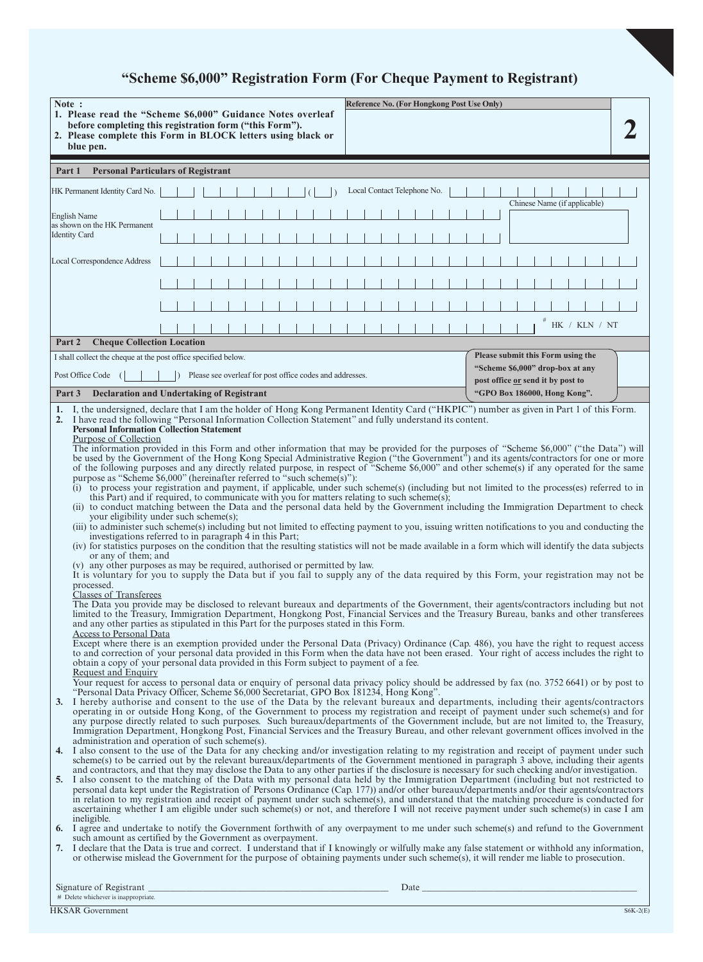# **"Scheme \$6,000" Registration Form (For Cheque Payment to Registrant)**

| Note:                                                                                                                                                                                                                                                                                                                                                                                                                                                                                                                                                                                                                                                                                                                                                                                                                                                                                                                                                                                                                                                                                                                                                                                                                                                                                                                                                                                                                                                                                                                                                                                                                                                                                                                                                                                                                                                                                                                                                                                                                                                                                                                                                                                                                                                                                                                                                                                                                                                                                                                               |                                                                                                                                                                                                                                                                                                |                                                                                                                                                                                        |                                                                                                                                            |  |  |  |  |  |  |
|-------------------------------------------------------------------------------------------------------------------------------------------------------------------------------------------------------------------------------------------------------------------------------------------------------------------------------------------------------------------------------------------------------------------------------------------------------------------------------------------------------------------------------------------------------------------------------------------------------------------------------------------------------------------------------------------------------------------------------------------------------------------------------------------------------------------------------------------------------------------------------------------------------------------------------------------------------------------------------------------------------------------------------------------------------------------------------------------------------------------------------------------------------------------------------------------------------------------------------------------------------------------------------------------------------------------------------------------------------------------------------------------------------------------------------------------------------------------------------------------------------------------------------------------------------------------------------------------------------------------------------------------------------------------------------------------------------------------------------------------------------------------------------------------------------------------------------------------------------------------------------------------------------------------------------------------------------------------------------------------------------------------------------------------------------------------------------------------------------------------------------------------------------------------------------------------------------------------------------------------------------------------------------------------------------------------------------------------------------------------------------------------------------------------------------------------------------------------------------------------------------------------------------------|------------------------------------------------------------------------------------------------------------------------------------------------------------------------------------------------------------------------------------------------------------------------------------------------|----------------------------------------------------------------------------------------------------------------------------------------------------------------------------------------|--------------------------------------------------------------------------------------------------------------------------------------------|--|--|--|--|--|--|
|                                                                                                                                                                                                                                                                                                                                                                                                                                                                                                                                                                                                                                                                                                                                                                                                                                                                                                                                                                                                                                                                                                                                                                                                                                                                                                                                                                                                                                                                                                                                                                                                                                                                                                                                                                                                                                                                                                                                                                                                                                                                                                                                                                                                                                                                                                                                                                                                                                                                                                                                     | blue pen.                                                                                                                                                                                                                                                                                      | 1. Please read the "Scheme \$6,000" Guidance Notes overleaf<br>before completing this registration form ("this Form").<br>2. Please complete this Form in BLOCK letters using black or | Reference No. (For Hongkong Post Use Only)                                                                                                 |  |  |  |  |  |  |
| <b>Personal Particulars of Registrant</b><br>Part 1                                                                                                                                                                                                                                                                                                                                                                                                                                                                                                                                                                                                                                                                                                                                                                                                                                                                                                                                                                                                                                                                                                                                                                                                                                                                                                                                                                                                                                                                                                                                                                                                                                                                                                                                                                                                                                                                                                                                                                                                                                                                                                                                                                                                                                                                                                                                                                                                                                                                                 |                                                                                                                                                                                                                                                                                                |                                                                                                                                                                                        |                                                                                                                                            |  |  |  |  |  |  |
|                                                                                                                                                                                                                                                                                                                                                                                                                                                                                                                                                                                                                                                                                                                                                                                                                                                                                                                                                                                                                                                                                                                                                                                                                                                                                                                                                                                                                                                                                                                                                                                                                                                                                                                                                                                                                                                                                                                                                                                                                                                                                                                                                                                                                                                                                                                                                                                                                                                                                                                                     | HK Permanent Identity Card No.                                                                                                                                                                                                                                                                 |                                                                                                                                                                                        | Local Contact Telephone No.                                                                                                                |  |  |  |  |  |  |
|                                                                                                                                                                                                                                                                                                                                                                                                                                                                                                                                                                                                                                                                                                                                                                                                                                                                                                                                                                                                                                                                                                                                                                                                                                                                                                                                                                                                                                                                                                                                                                                                                                                                                                                                                                                                                                                                                                                                                                                                                                                                                                                                                                                                                                                                                                                                                                                                                                                                                                                                     | <b>English Name</b>                                                                                                                                                                                                                                                                            |                                                                                                                                                                                        | Chinese Name (if applicable)                                                                                                               |  |  |  |  |  |  |
| as shown on the HK Permanent<br><b>Identity Card</b>                                                                                                                                                                                                                                                                                                                                                                                                                                                                                                                                                                                                                                                                                                                                                                                                                                                                                                                                                                                                                                                                                                                                                                                                                                                                                                                                                                                                                                                                                                                                                                                                                                                                                                                                                                                                                                                                                                                                                                                                                                                                                                                                                                                                                                                                                                                                                                                                                                                                                |                                                                                                                                                                                                                                                                                                |                                                                                                                                                                                        |                                                                                                                                            |  |  |  |  |  |  |
| Local Correspondence Address                                                                                                                                                                                                                                                                                                                                                                                                                                                                                                                                                                                                                                                                                                                                                                                                                                                                                                                                                                                                                                                                                                                                                                                                                                                                                                                                                                                                                                                                                                                                                                                                                                                                                                                                                                                                                                                                                                                                                                                                                                                                                                                                                                                                                                                                                                                                                                                                                                                                                                        |                                                                                                                                                                                                                                                                                                |                                                                                                                                                                                        |                                                                                                                                            |  |  |  |  |  |  |
|                                                                                                                                                                                                                                                                                                                                                                                                                                                                                                                                                                                                                                                                                                                                                                                                                                                                                                                                                                                                                                                                                                                                                                                                                                                                                                                                                                                                                                                                                                                                                                                                                                                                                                                                                                                                                                                                                                                                                                                                                                                                                                                                                                                                                                                                                                                                                                                                                                                                                                                                     |                                                                                                                                                                                                                                                                                                |                                                                                                                                                                                        |                                                                                                                                            |  |  |  |  |  |  |
|                                                                                                                                                                                                                                                                                                                                                                                                                                                                                                                                                                                                                                                                                                                                                                                                                                                                                                                                                                                                                                                                                                                                                                                                                                                                                                                                                                                                                                                                                                                                                                                                                                                                                                                                                                                                                                                                                                                                                                                                                                                                                                                                                                                                                                                                                                                                                                                                                                                                                                                                     |                                                                                                                                                                                                                                                                                                |                                                                                                                                                                                        |                                                                                                                                            |  |  |  |  |  |  |
|                                                                                                                                                                                                                                                                                                                                                                                                                                                                                                                                                                                                                                                                                                                                                                                                                                                                                                                                                                                                                                                                                                                                                                                                                                                                                                                                                                                                                                                                                                                                                                                                                                                                                                                                                                                                                                                                                                                                                                                                                                                                                                                                                                                                                                                                                                                                                                                                                                                                                                                                     |                                                                                                                                                                                                                                                                                                |                                                                                                                                                                                        | HK / KLN / NT                                                                                                                              |  |  |  |  |  |  |
| Part 2                                                                                                                                                                                                                                                                                                                                                                                                                                                                                                                                                                                                                                                                                                                                                                                                                                                                                                                                                                                                                                                                                                                                                                                                                                                                                                                                                                                                                                                                                                                                                                                                                                                                                                                                                                                                                                                                                                                                                                                                                                                                                                                                                                                                                                                                                                                                                                                                                                                                                                                              | <b>Cheque Collection Location</b>                                                                                                                                                                                                                                                              |                                                                                                                                                                                        |                                                                                                                                            |  |  |  |  |  |  |
|                                                                                                                                                                                                                                                                                                                                                                                                                                                                                                                                                                                                                                                                                                                                                                                                                                                                                                                                                                                                                                                                                                                                                                                                                                                                                                                                                                                                                                                                                                                                                                                                                                                                                                                                                                                                                                                                                                                                                                                                                                                                                                                                                                                                                                                                                                                                                                                                                                                                                                                                     |                                                                                                                                                                                                                                                                                                | I shall collect the cheque at the post office specified below.                                                                                                                         | Please submit this Form using the<br>"Scheme \$6,000" drop-box at any                                                                      |  |  |  |  |  |  |
| Part 3                                                                                                                                                                                                                                                                                                                                                                                                                                                                                                                                                                                                                                                                                                                                                                                                                                                                                                                                                                                                                                                                                                                                                                                                                                                                                                                                                                                                                                                                                                                                                                                                                                                                                                                                                                                                                                                                                                                                                                                                                                                                                                                                                                                                                                                                                                                                                                                                                                                                                                                              | Post Office Code                                                                                                                                                                                                                                                                               | Please see overleaf for post office codes and addresses.                                                                                                                               | post office or send it by post to<br>"GPO Box 186000, Hong Kong".                                                                          |  |  |  |  |  |  |
|                                                                                                                                                                                                                                                                                                                                                                                                                                                                                                                                                                                                                                                                                                                                                                                                                                                                                                                                                                                                                                                                                                                                                                                                                                                                                                                                                                                                                                                                                                                                                                                                                                                                                                                                                                                                                                                                                                                                                                                                                                                                                                                                                                                                                                                                                                                                                                                                                                                                                                                                     |                                                                                                                                                                                                                                                                                                | Declaration and Undertaking of Registrant                                                                                                                                              | 1. I, the undersigned, declare that I am the holder of Hong Kong Permanent Identity Card ("HKPIC") number as given in Part 1 of this Form. |  |  |  |  |  |  |
| <b>Personal Information Collection Statement</b><br>Purpose of Collection<br>The information provided in this Form and other information that may be provided for the purposes of "Scheme \$6,000" ("the Data") will<br>be used by the Government of the Hong Kong Special Administrative Region ("the Government") and its agents/contractors for one or more<br>of the following purposes and any directly related purpose, in respect of "Scheme \$6,000" and other scheme(s) if any operated for the same<br>purpose as "Scheme $$6,000$ " (hereinafter referred to "such scheme $(s)$ "):<br>(i) to process your registration and payment, if applicable, under such scheme(s) (including but not limited to the process(es) referred to in<br>this Part) and if required, to communicate with you for matters relating to such scheme(s);<br>(ii) to conduct matching between the Data and the personal data held by the Government including the Immigration Department to check<br>your eligibility under such scheme(s);<br>(iii) to administer such scheme(s) including but not limited to effecting payment to you, issuing written notifications to you and conducting the<br>investigations referred to in paragraph 4 in this Part;<br>(iv) for statistics purposes on the condition that the resulting statistics will not be made available in a form which will identify the data subjects<br>or any of them; and<br>(v) any other purposes as may be required, authorised or permitted by law.<br>It is voluntary for you to supply the Data but if you fail to supply any of the data required by this Form, your registration may not be<br>processed.<br><b>Classes of Transferees</b><br>The Data you provide may be disclosed to relevant bureaux and departments of the Government, their agents/contractors including but not<br>limited to the Treasury, Immigration Department, Hongkong Post, Financial Services and the Treasury Bureau, banks and other transferees<br>and any other parties as stipulated in this Part for the purposes stated in this Form.<br>Access to Personal Data<br>Except where there is an exemption provided under the Personal Data (Privacy) Ordinance (Cap. 486), you have the right to request access<br>to and correction of your personal data provided in this Form when the data have not been erased. Your right of access includes the right to<br>obtain a copy of your personal data provided in this Form subject to payment of a fee.<br>Request and Enquiry |                                                                                                                                                                                                                                                                                                |                                                                                                                                                                                        |                                                                                                                                            |  |  |  |  |  |  |
| Your request for access to personal data or enquiry of personal data privacy policy should be addressed by fax (no. 3752 6641) or by post to<br>"Personal Data Privacy Officer, Scheme \$6,000 Secretariat, GPO Box 181234, Hong Kong".<br>3. I hereby authorise and consent to the use of the Data by the relevant bureaux and departments, including their agents/contractors<br>operating in or outside Hong Kong, of the Government to process my registration and receipt of payment under such scheme(s) and for<br>any purpose directly related to such purposes. Such bureaux/departments of the Government include, but are not limited to, the Treasury,<br>Immigration Department, Hongkong Post, Financial Services and the Treasury Bureau, and other relevant government offices involved in the<br>administration and operation of such scheme(s).<br>4. I also consent to the use of the Data for any checking and/or investigation relating to my registration and receipt of payment under such<br>scheme(s) to be carried out by the relevant bureaux/departments of the Government mentioned in paragraph 3 above, including their agents<br>and contractors, and that they may disclose the Data to any other parties if the disclosure is necessary for such checking and/or investigation.<br>5. I also consent to the matching of the Data with my personal data held by the Immigration Department (including but not restricted to<br>personal data kept under the Registration of Persons Ordinance (Cap. 177)) and/or other bureaux/departments and/or their agents/contractors<br>in relation to my registration and receipt of payment under such scheme(s), and understand that the matching procedure is conducted for<br>ascertaining whether I am eligible under such scheme(s) or not, and therefore I will not receive payment under such scheme(s) in case I am<br>ineligible.                                                                                                                                                                                                                                                                                                                                                                                                                                                                                                                                                                                                                 |                                                                                                                                                                                                                                                                                                |                                                                                                                                                                                        |                                                                                                                                            |  |  |  |  |  |  |
|                                                                                                                                                                                                                                                                                                                                                                                                                                                                                                                                                                                                                                                                                                                                                                                                                                                                                                                                                                                                                                                                                                                                                                                                                                                                                                                                                                                                                                                                                                                                                                                                                                                                                                                                                                                                                                                                                                                                                                                                                                                                                                                                                                                                                                                                                                                                                                                                                                                                                                                                     | 6. I agree and undertake to notify the Government forthwith of any overpayment to me under such scheme(s) and refund to the Government<br>such amount as certified by the Government as overpayment.                                                                                           |                                                                                                                                                                                        |                                                                                                                                            |  |  |  |  |  |  |
|                                                                                                                                                                                                                                                                                                                                                                                                                                                                                                                                                                                                                                                                                                                                                                                                                                                                                                                                                                                                                                                                                                                                                                                                                                                                                                                                                                                                                                                                                                                                                                                                                                                                                                                                                                                                                                                                                                                                                                                                                                                                                                                                                                                                                                                                                                                                                                                                                                                                                                                                     | 7. I declare that the Data is true and correct. I understand that if I knowingly or wilfully make any false statement or withhold any information,<br>or otherwise mislead the Government for the purpose of obtaining payments under such scheme(s), it will render me liable to prosecution. |                                                                                                                                                                                        |                                                                                                                                            |  |  |  |  |  |  |

Signature of Registrant \_\_\_\_\_\_\_\_\_\_\_\_\_\_\_\_\_\_\_\_\_\_\_\_\_\_\_\_\_\_\_\_\_\_\_\_\_\_\_\_\_\_\_\_\_\_\_\_\_\_\_\_\_\_\_\_\_ Date \_\_\_\_\_\_\_\_\_\_\_\_\_\_\_\_\_\_\_\_\_\_\_\_\_\_\_\_\_\_\_\_\_\_\_\_\_\_\_\_\_\_\_\_\_\_\_\_\_\_\_ # Delete whichever is inappropriate.